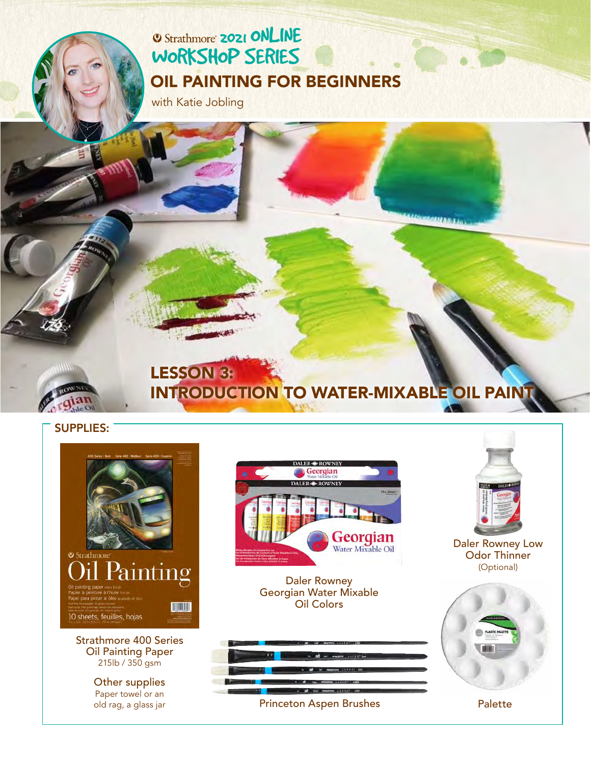## **2021 ONLINE** [WORKSHOP SERIES](https://www.strathmoreartiststudio.com/) [OIL PAINTING FOR BEGINNERS](https://www.strathmoreartiststudio.com/groups/workshop-4-2021/forum/)

with Katie Jobling



#### LESSON 3: [INTRODUCTION TO WATER-MIXABLE OIL PAINT](https://www.strathmoreartiststudio.com/groups/workshop-3-2021/forum/)

#### SUPPLIES:



Oil Painting Paper 215lb / 350 gsm

> Other supplies Paper towel or an old rag, a glass jar



Daler Rowney [Georgian Water Mixable](https://www.daler-rowney.com/georgian-watermixable-oil/)  Oil Colors



[Daler Rowney Low](https://www.daler-rowney.com/georgian-oil-diluents-mediums-varnishes/) 

**USING ALLES TA** 

Odor Thinner (Optional)

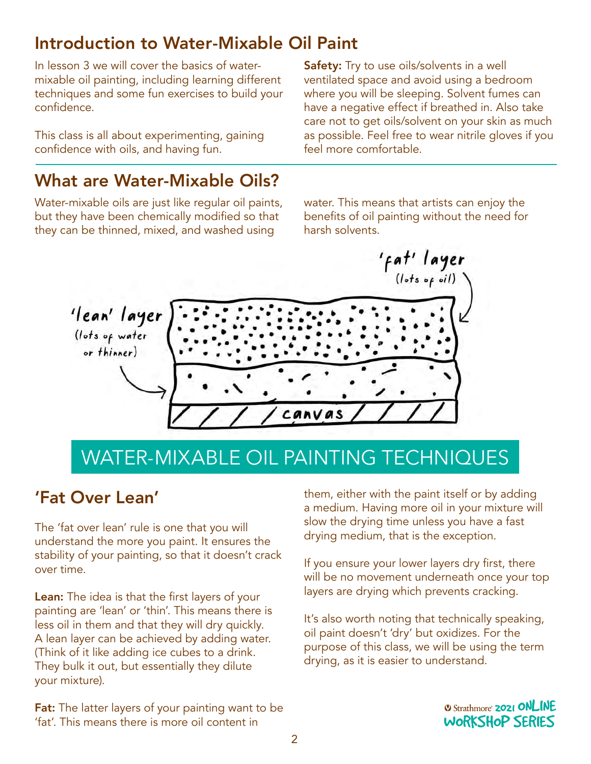## Introduction to Water-Mixable Oil Paint

In lesson 3 we will cover the basics of watermixable oil painting, including learning different techniques and some fun exercises to build your confidence.

This class is all about experimenting, gaining confidence with oils, and having fun.

Safety: Try to use oils/solvents in a well ventilated space and avoid using a bedroom where you will be sleeping. Solvent fumes can have a negative effect if breathed in. Also take care not to get oils/solvent on your skin as much as possible. Feel free to wear nitrile gloves if you feel more comfortable.

## What are Water-Mixable Oils?

Water-mixable oils are just like regular oil paints, but they have been chemically modified so that they can be thinned, mixed, and washed using

water. This means that artists can enjoy the benefits of oil painting without the need for harsh solvents.



# WATER-MIXABLE OIL PAINTING TECHNIQUES

#### 'Fat Over Lean'

The 'fat over lean' rule is one that you will understand the more you paint. It ensures the stability of your painting, so that it doesn't crack over time.

Lean: The idea is that the first layers of your painting are 'lean' or 'thin'. This means there is less oil in them and that they will dry quickly. A lean layer can be achieved by adding water. (Think of it like adding ice cubes to a drink. They bulk it out, but essentially they dilute your mixture).

**Fat:** The latter layers of your painting want to be 'fat'. This means there is more oil content in

them, either with the paint itself or by adding a medium. Having more oil in your mixture will slow the drying time unless you have a fast drying medium, that is the exception.

If you ensure your lower layers dry first, there will be no movement underneath once your top layers are drying which prevents cracking.

It's also worth noting that technically speaking, oil paint doesn't 'dry' but oxidizes. For the on paint doesn't dry but oxidizes, for the<br>purpose of this class, we will be using the term parpose of this elass, we will be asing the term<br>drying, as it is easier to understand.

> **2021 ONLINE** [WORKSHOP SERIES](https://www.strathmoreartiststudio.com/)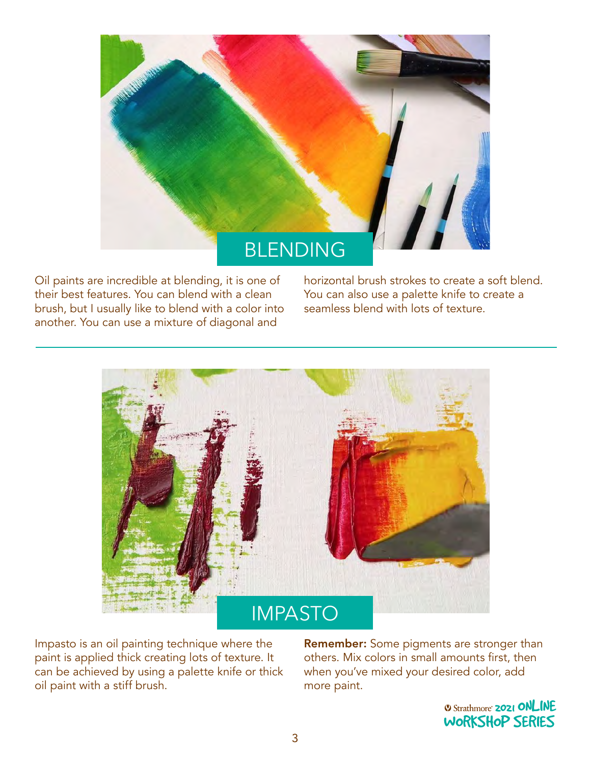

Oil paints are incredible at blending, it is one of their best features. You can blend with a clean brush, but I usually like to blend with a color into another. You can use a mixture of diagonal and

horizontal brush strokes to create a soft blend. You can also use a palette knife to create a seamless blend with lots of texture.



Impasto is an oil painting technique where the paint is applied thick creating lots of texture. It can be achieved by using a palette knife or thick oil paint with a stiff brush.

**Remember:** Some pigments are stronger than others. Mix colors in small amounts first, then when you've mixed your desired color, add more paint.

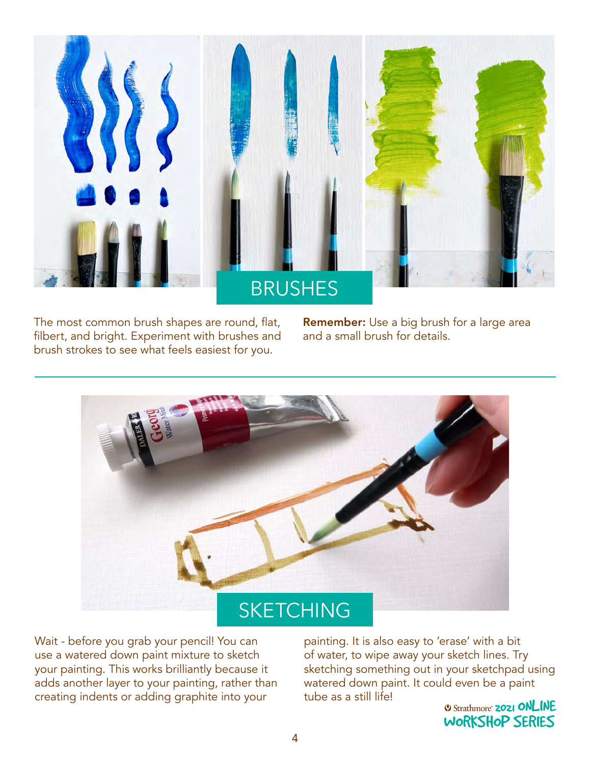

The most common brush shapes are round, flat, filbert, and bright. Experiment with brushes and brush strokes to see what feels easiest for you.

Remember: Use a big brush for a large area and a small brush for details.



Wait - before you grab your pencil! You can use a watered down paint mixture to sketch your painting. This works brilliantly because it adds another layer to your painting, rather than creating indents or adding graphite into your

painting. It is also easy to 'erase' with a bit of water, to wipe away your sketch lines. Try sketching something out in your sketchpad using watered down paint. It could even be a paint tube as a still life!